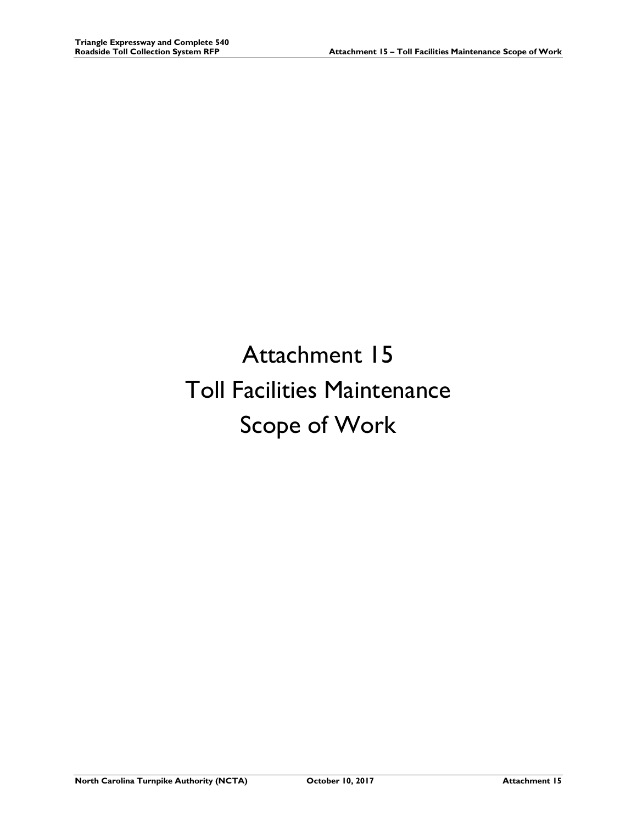# Attachment 15 Toll Facilities Maintenance Scope of Work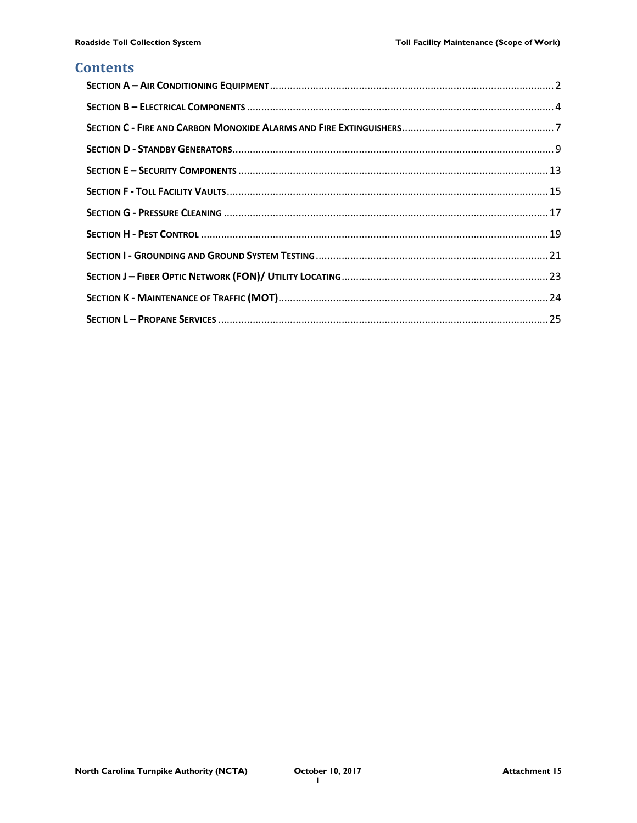# **Contents**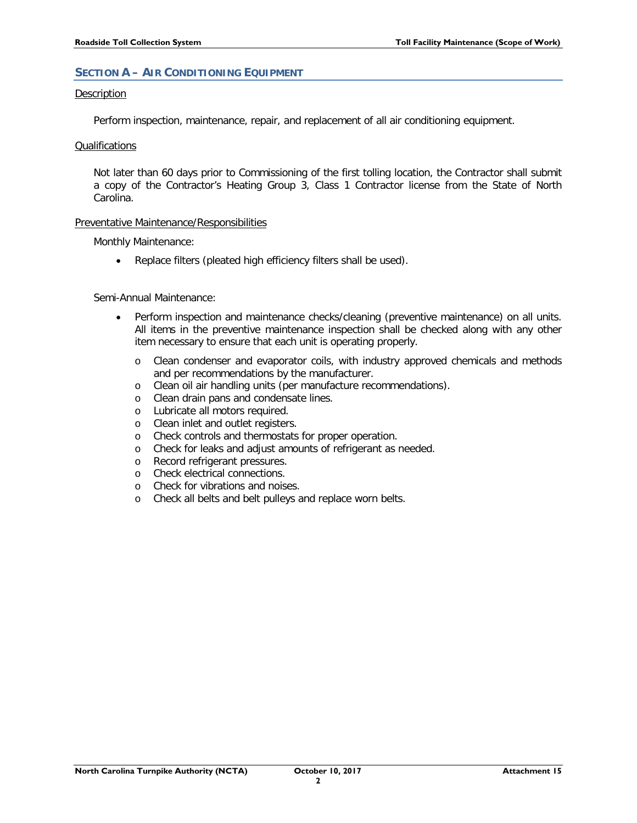# <span id="page-2-0"></span>**SECTION A – AIR CONDITIONING EQUIPMENT**

#### Description

Perform inspection, maintenance, repair, and replacement of all air conditioning equipment.

#### Qualifications

Not later than 60 days prior to Commissioning of the first tolling location, the Contractor shall submit a copy of the Contractor's Heating Group 3, Class 1 Contractor license from the State of North Carolina.

# Preventative Maintenance/Responsibilities

Monthly Maintenance:

• Replace filters (pleated high efficiency filters shall be used).

# Semi-Annual Maintenance:

- Perform inspection and maintenance checks/cleaning (preventive maintenance) on all units. All items in the preventive maintenance inspection shall be checked along with any other item necessary to ensure that each unit is operating properly.
	- o Clean condenser and evaporator coils, with industry approved chemicals and methods and per recommendations by the manufacturer.
	- o Clean oil air handling units (per manufacture recommendations).
	- o Clean drain pans and condensate lines.
	- o Lubricate all motors required.
	- o Clean inlet and outlet registers.
	- o Check controls and thermostats for proper operation.
	- o Check for leaks and adjust amounts of refrigerant as needed.<br>  $\circ$  Record refrigerant pressures.
	- Record refrigerant pressures.
	- o Check electrical connections.<br>
	o Check for vibrations and nois
	- Check for vibrations and noises.
	- o Check all belts and belt pulleys and replace worn belts.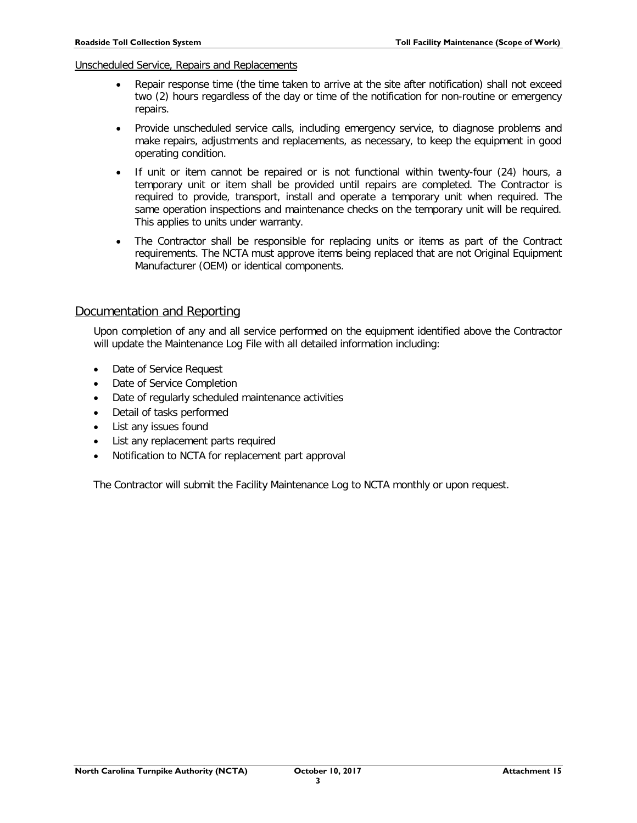# Unscheduled Service, Repairs and Replacements

- Repair response time (the time taken to arrive at the site after notification) shall not exceed two (2) hours regardless of the day or time of the notification for non-routine or emergency repairs.
- Provide unscheduled service calls, including emergency service, to diagnose problems and make repairs, adjustments and replacements, as necessary, to keep the equipment in good operating condition.
- If unit or item cannot be repaired or is not functional within twenty-four (24) hours, a temporary unit or item shall be provided until repairs are completed. The Contractor is required to provide, transport, install and operate a temporary unit when required. The same operation inspections and maintenance checks on the temporary unit will be required. This applies to units under warranty.
- The Contractor shall be responsible for replacing units or items as part of the Contract requirements. The NCTA must approve items being replaced that are not Original Equipment Manufacturer (OEM) or identical components.

# Documentation and Reporting

Upon completion of any and all service performed on the equipment identified above the Contractor will update the Maintenance Log File with all detailed information including:

- Date of Service Request
- Date of Service Completion
- Date of regularly scheduled maintenance activities
- Detail of tasks performed
- List any issues found
- List any replacement parts required
- Notification to NCTA for replacement part approval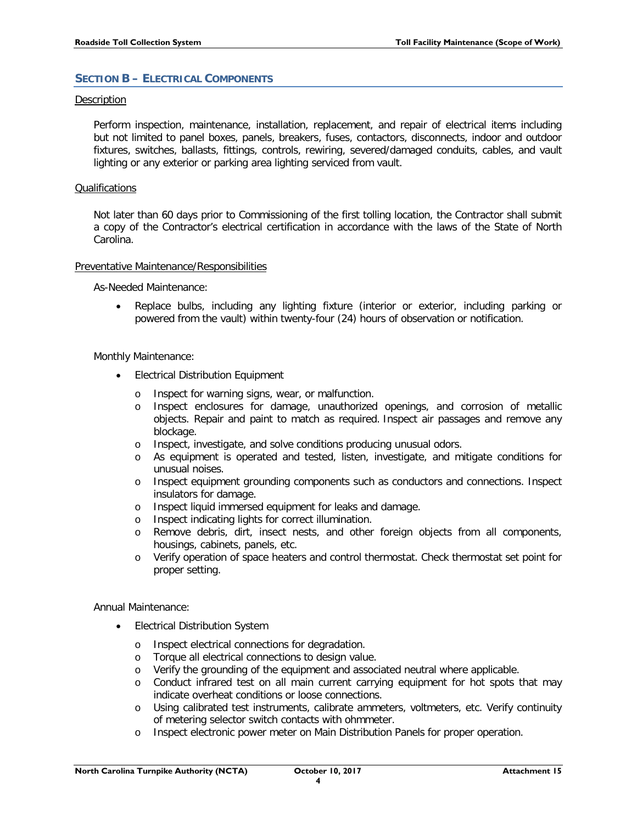# <span id="page-4-0"></span>**SECTION B – ELECTRICAL COMPONENTS**

# Description

Perform inspection, maintenance, installation, replacement, and repair of electrical items including but not limited to panel boxes, panels, breakers, fuses, contactors, disconnects, indoor and outdoor fixtures, switches, ballasts, fittings, controls, rewiring, severed/damaged conduits, cables, and vault lighting or any exterior or parking area lighting serviced from vault.

# **Qualifications**

Not later than 60 days prior to Commissioning of the first tolling location, the Contractor shall submit a copy of the Contractor's electrical certification in accordance with the laws of the State of North Carolina.

#### Preventative Maintenance/Responsibilities

As-Needed Maintenance:

• Replace bulbs, including any lighting fixture (interior or exterior, including parking or powered from the vault) within twenty-four (24) hours of observation or notification.

#### Monthly Maintenance:

- Electrical Distribution Equipment
	- o Inspect for warning signs, wear, or malfunction.
	- o Inspect enclosures for damage, unauthorized openings, and corrosion of metallic objects. Repair and paint to match as required. Inspect air passages and remove any blockage.
	- o Inspect, investigate, and solve conditions producing unusual odors.
	- o As equipment is operated and tested, listen, investigate, and mitigate conditions for unusual noises.
	- o Inspect equipment grounding components such as conductors and connections. Inspect insulators for damage.
	- o Inspect liquid immersed equipment for leaks and damage.
	- o Inspect indicating lights for correct illumination.
	- Remove debris, dirt, insect nests, and other foreign objects from all components, housings, cabinets, panels, etc.
	- o Verify operation of space heaters and control thermostat. Check thermostat set point for proper setting.

Annual Maintenance:

- Electrical Distribution System
	- o Inspect electrical connections for degradation.
	- o Torque all electrical connections to design value.
	- o Verify the grounding of the equipment and associated neutral where applicable.
	- o Conduct infrared test on all main current carrying equipment for hot spots that may indicate overheat conditions or loose connections.
	- o Using calibrated test instruments, calibrate ammeters, voltmeters, etc. Verify continuity of metering selector switch contacts with ohmmeter.
	- o Inspect electronic power meter on Main Distribution Panels for proper operation.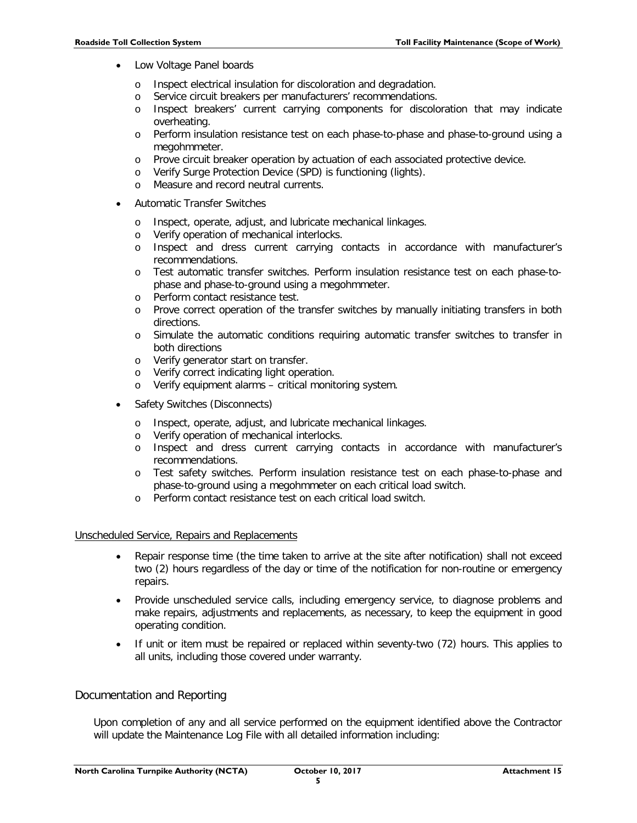- Low Voltage Panel boards
	- o Inspect electrical insulation for discoloration and degradation.
	- o Service circuit breakers per manufacturers' recommendations.
	- o Inspect breakers' current carrying components for discoloration that may indicate overheating.
	- o Perform insulation resistance test on each phase-to-phase and phase-to-ground using a megohmmeter.
	- o Prove circuit breaker operation by actuation of each associated protective device.
	- o Verify Surge Protection Device (SPD) is functioning (lights).
	- o Measure and record neutral currents.
- Automatic Transfer Switches
	- o Inspect, operate, adjust, and lubricate mechanical linkages.
	- o Verify operation of mechanical interlocks.
	- o Inspect and dress current carrying contacts in accordance with manufacturer's recommendations.
	- o Test automatic transfer switches. Perform insulation resistance test on each phase-tophase and phase-to-ground using a megohmmeter.
	- o Perform contact resistance test.
	- o Prove correct operation of the transfer switches by manually initiating transfers in both directions.
	- o Simulate the automatic conditions requiring automatic transfer switches to transfer in both directions
	- o Verify generator start on transfer.
	- o Verify correct indicating light operation.
	- o Verify equipment alarms critical monitoring system.
- Safety Switches (Disconnects)
	- o Inspect, operate, adjust, and lubricate mechanical linkages.
	- o Verify operation of mechanical interlocks.
	- o Inspect and dress current carrying contacts in accordance with manufacturer's recommendations.
	- o Test safety switches. Perform insulation resistance test on each phase-to-phase and phase-to-ground using a megohmmeter on each critical load switch.
	- o Perform contact resistance test on each critical load switch.

#### Unscheduled Service, Repairs and Replacements

- Repair response time (the time taken to arrive at the site after notification) shall not exceed two (2) hours regardless of the day or time of the notification for non-routine or emergency repairs.
- Provide unscheduled service calls, including emergency service, to diagnose problems and make repairs, adjustments and replacements, as necessary, to keep the equipment in good operating condition.
- If unit or item must be repaired or replaced within seventy-two (72) hours. This applies to all units, including those covered under warranty.

# Documentation and Reporting

Upon completion of any and all service performed on the equipment identified above the Contractor will update the Maintenance Log File with all detailed information including: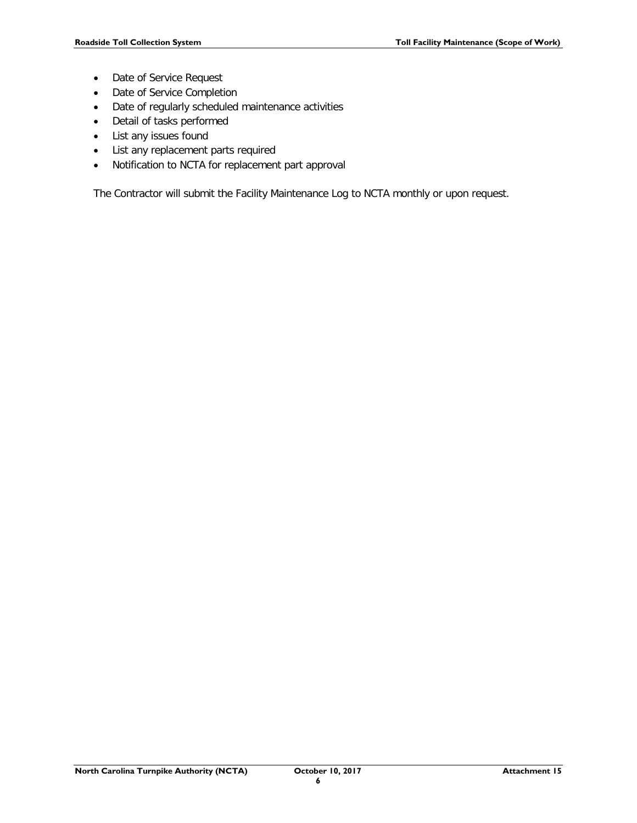- Date of Service Request
- Date of Service Completion
- Date of regularly scheduled maintenance activities
- Detail of tasks performed
- List any issues found
- List any replacement parts required
- Notification to NCTA for replacement part approval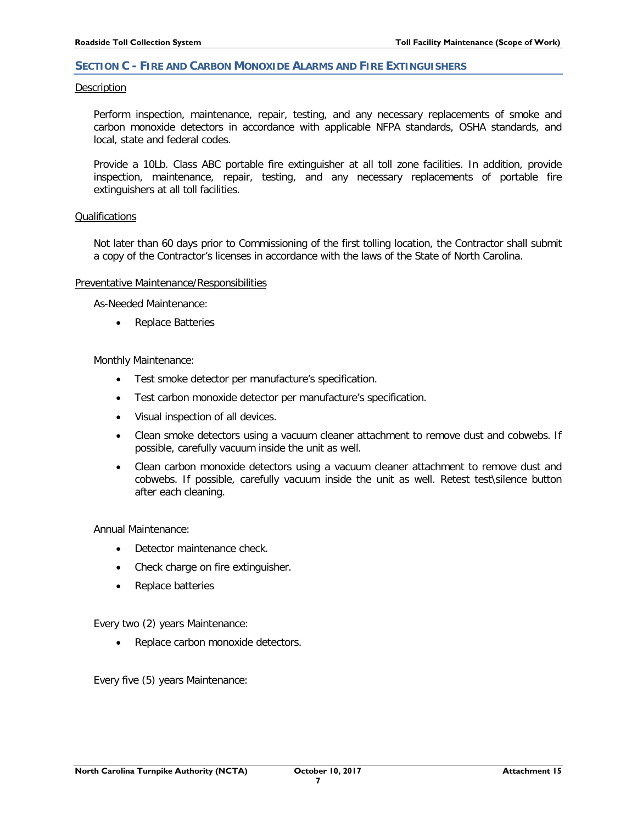### <span id="page-7-0"></span>**SECTION C - FIRE AND CARBON MONOXIDE ALARMS AND FIRE EXTINGUISHERS**

#### **Description**

Perform inspection, maintenance, repair, testing, and any necessary replacements of smoke and carbon monoxide detectors in accordance with applicable NFPA standards, OSHA standards, and local, state and federal codes.

Provide a 10Lb. Class ABC portable fire extinguisher at all toll zone facilities. In addition, provide inspection, maintenance, repair, testing, and any necessary replacements of portable fire extinguishers at all toll facilities.

#### Qualifications

Not later than 60 days prior to Commissioning of the first tolling location, the Contractor shall submit a copy of the Contractor's licenses in accordance with the laws of the State of North Carolina.

#### Preventative Maintenance/Responsibilities

As-Needed Maintenance:

• Replace Batteries

Monthly Maintenance:

- Test smoke detector per manufacture's specification.
- Test carbon monoxide detector per manufacture's specification.
- Visual inspection of all devices.
- Clean smoke detectors using a vacuum cleaner attachment to remove dust and cobwebs. If possible, carefully vacuum inside the unit as well.
- Clean carbon monoxide detectors using a vacuum cleaner attachment to remove dust and cobwebs. If possible, carefully vacuum inside the unit as well. Retest test\silence button after each cleaning.

Annual Maintenance:

- Detector maintenance check.
- Check charge on fire extinguisher.
- Replace batteries

Every two (2) years Maintenance:

• Replace carbon monoxide detectors.

Every five (5) years Maintenance: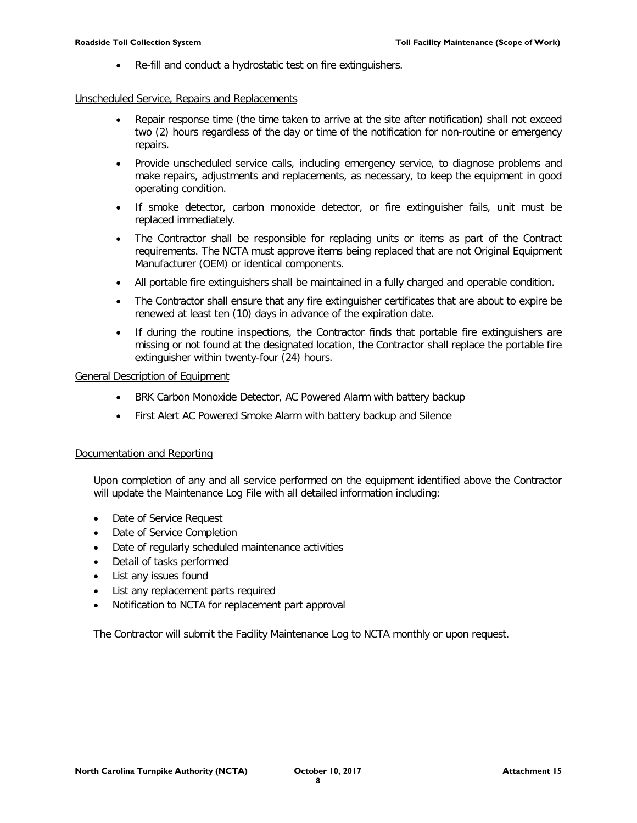• Re-fill and conduct a hydrostatic test on fire extinguishers.

#### Unscheduled Service, Repairs and Replacements

- Repair response time (the time taken to arrive at the site after notification) shall not exceed two (2) hours regardless of the day or time of the notification for non-routine or emergency repairs.
- Provide unscheduled service calls, including emergency service, to diagnose problems and make repairs, adjustments and replacements, as necessary, to keep the equipment in good operating condition.
- If smoke detector, carbon monoxide detector, or fire extinguisher fails, unit must be replaced immediately.
- The Contractor shall be responsible for replacing units or items as part of the Contract requirements. The NCTA must approve items being replaced that are not Original Equipment Manufacturer (OEM) or identical components.
- All portable fire extinguishers shall be maintained in a fully charged and operable condition.
- The Contractor shall ensure that any fire extinguisher certificates that are about to expire be renewed at least ten (10) days in advance of the expiration date.
- If during the routine inspections, the Contractor finds that portable fire extinguishers are missing or not found at the designated location, the Contractor shall replace the portable fire extinguisher within twenty-four (24) hours.

#### General Description of Equipment

- BRK Carbon Monoxide Detector, AC Powered Alarm with battery backup
- First Alert AC Powered Smoke Alarm with battery backup and Silence

#### Documentation and Reporting

Upon completion of any and all service performed on the equipment identified above the Contractor will update the Maintenance Log File with all detailed information including:

- Date of Service Request
- Date of Service Completion
- Date of regularly scheduled maintenance activities
- Detail of tasks performed
- List any issues found
- List any replacement parts required
- Notification to NCTA for replacement part approval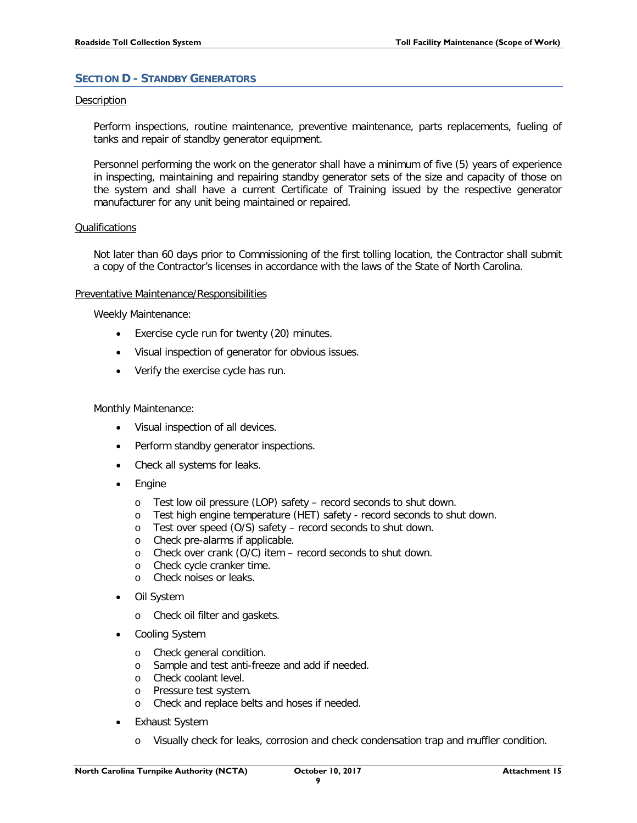# <span id="page-9-0"></span>**SECTION D - STANDBY GENERATORS**

# Description

Perform inspections, routine maintenance, preventive maintenance, parts replacements, fueling of tanks and repair of standby generator equipment.

Personnel performing the work on the generator shall have a minimum of five (5) years of experience in inspecting, maintaining and repairing standby generator sets of the size and capacity of those on the system and shall have a current Certificate of Training issued by the respective generator manufacturer for any unit being maintained or repaired.

#### Qualifications

Not later than 60 days prior to Commissioning of the first tolling location, the Contractor shall submit a copy of the Contractor's licenses in accordance with the laws of the State of North Carolina.

#### Preventative Maintenance/Responsibilities

Weekly Maintenance:

- Exercise cycle run for twenty (20) minutes.
- Visual inspection of generator for obvious issues.
- Verify the exercise cycle has run.

# Monthly Maintenance:

- Visual inspection of all devices.
- Perform standby generator inspections.
- Check all systems for leaks.
- **Engine** 
	- o Test low oil pressure (LOP) safety record seconds to shut down.
	- o Test high engine temperature (HET) safety record seconds to shut down.
	- o Test over speed (O/S) safety record seconds to shut down.
	- o Check pre-alarms if applicable.<br>
	o Check over crank (O/C) item -
	- o Check over crank (O/C) item record seconds to shut down.<br>  $\circ$  Check cycle cranker time.
	- Check cycle cranker time.
	- o Check noises or leaks.
- Oil System
	- o Check oil filter and gaskets.
- Cooling System
	- o Check general condition.
	- o Sample and test anti-freeze and add if needed.
	- o Check coolant level.
	- o Pressure test system.
	- o Check and replace belts and hoses if needed.
- **Exhaust System** 
	- o Visually check for leaks, corrosion and check condensation trap and muffler condition.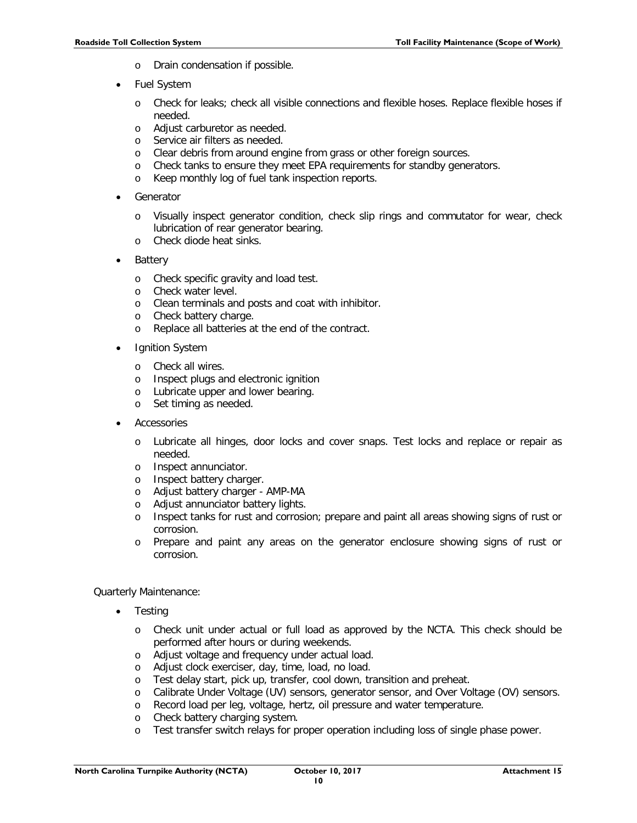- o Drain condensation if possible.
- Fuel System
	- o Check for leaks; check all visible connections and flexible hoses. Replace flexible hoses if needed.
	- o Adjust carburetor as needed.
	- o Service air filters as needed.
	- o Clear debris from around engine from grass or other foreign sources.
	- o Check tanks to ensure they meet EPA requirements for standby generators.
	- o Keep monthly log of fuel tank inspection reports.
- **Generator** 
	- o Visually inspect generator condition, check slip rings and commutator for wear, check lubrication of rear generator bearing.
	- o Check diode heat sinks.
- **Battery** 
	- o Check specific gravity and load test.
	- o Check water level.
	- o Clean terminals and posts and coat with inhibitor.
	- o Check battery charge.
	- o Replace all batteries at the end of the contract.
- **Ignition System** 
	- o Check all wires.
	- o Inspect plugs and electronic ignition
	- o Lubricate upper and lower bearing.<br>
	o Set timing as needed
	- Set timing as needed.
- **Accessories** 
	- o Lubricate all hinges, door locks and cover snaps. Test locks and replace or repair as needed.
	- o Inspect annunciator.
	- o Inspect battery charger.
	- o Adjust battery charger AMP-MA
	- o Adjust annunciator battery lights.
	- o Inspect tanks for rust and corrosion; prepare and paint all areas showing signs of rust or corrosion.
	- o Prepare and paint any areas on the generator enclosure showing signs of rust or corrosion.

Quarterly Maintenance:

- Testing
	- o Check unit under actual or full load as approved by the NCTA. This check should be performed after hours or during weekends.
	- o Adjust voltage and frequency under actual load.
	- o Adjust clock exerciser, day, time, load, no load.
	- o Test delay start, pick up, transfer, cool down, transition and preheat.
	- o Calibrate Under Voltage (UV) sensors, generator sensor, and Over Voltage (OV) sensors.
	- o Record load per leg, voltage, hertz, oil pressure and water temperature.
	- o Check battery charging system.<br>
	o Test transfer switch relays for n
	- Test transfer switch relays for proper operation including loss of single phase power.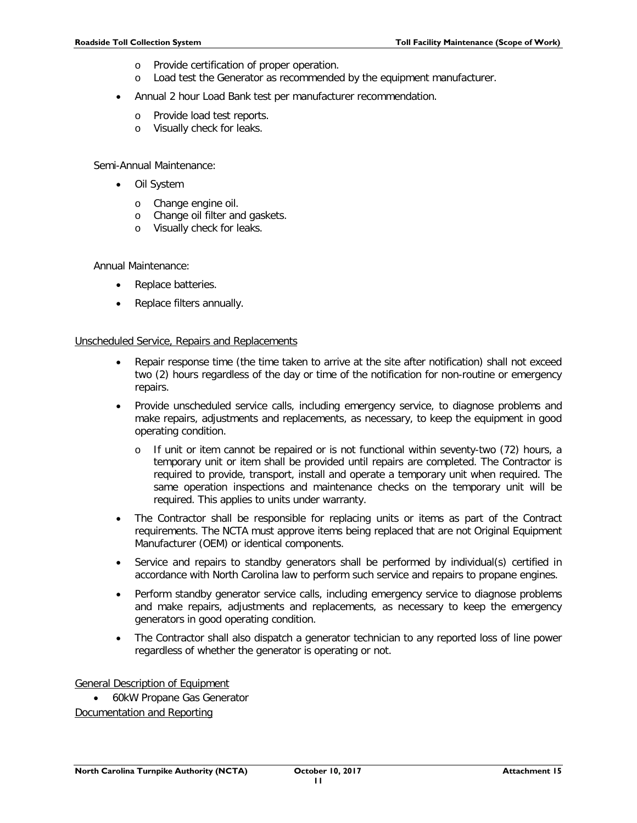- o Provide certification of proper operation.
- o Load test the Generator as recommended by the equipment manufacturer.
- Annual 2 hour Load Bank test per manufacturer recommendation.
	- o Provide load test reports.
	- o Visually check for leaks.

Semi-Annual Maintenance:

- Oil System
	- o Change engine oil.
	- o Change oil filter and gaskets.
	- o Visually check for leaks.

Annual Maintenance:

- Replace batteries.
- Replace filters annually.

#### Unscheduled Service, Repairs and Replacements

- Repair response time (the time taken to arrive at the site after notification) shall not exceed two (2) hours regardless of the day or time of the notification for non-routine or emergency repairs.
- Provide unscheduled service calls, including emergency service, to diagnose problems and make repairs, adjustments and replacements, as necessary, to keep the equipment in good operating condition.
	- o If unit or item cannot be repaired or is not functional within seventy-two (72) hours, a temporary unit or item shall be provided until repairs are completed. The Contractor is required to provide, transport, install and operate a temporary unit when required. The same operation inspections and maintenance checks on the temporary unit will be required. This applies to units under warranty.
- The Contractor shall be responsible for replacing units or items as part of the Contract requirements. The NCTA must approve items being replaced that are not Original Equipment Manufacturer (OEM) or identical components.
- Service and repairs to standby generators shall be performed by individual(s) certified in accordance with North Carolina law to perform such service and repairs to propane engines.
- Perform standby generator service calls, including emergency service to diagnose problems and make repairs, adjustments and replacements, as necessary to keep the emergency generators in good operating condition.
- The Contractor shall also dispatch a generator technician to any reported loss of line power regardless of whether the generator is operating or not.

General Description of Equipment

• 60kW Propane Gas Generator Documentation and Reporting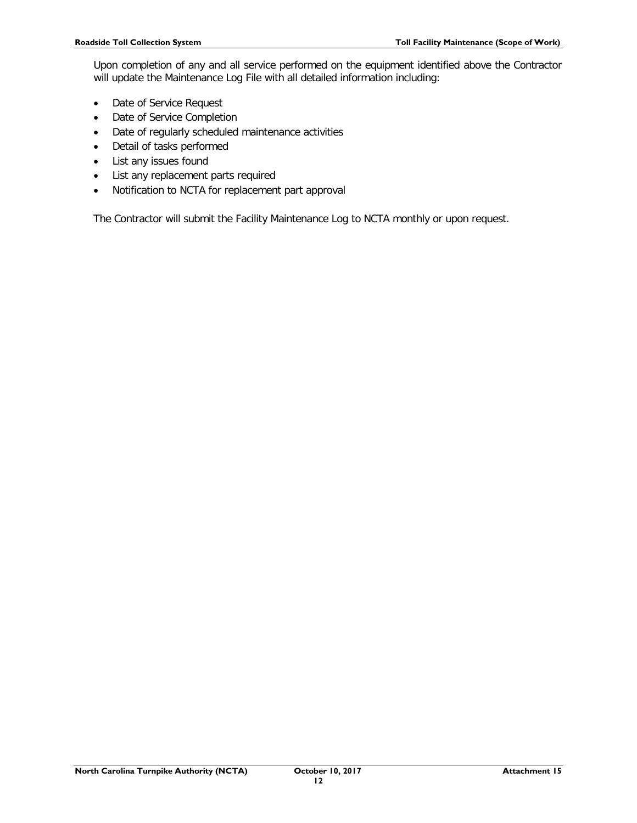Upon completion of any and all service performed on the equipment identified above the Contractor will update the Maintenance Log File with all detailed information including:

- Date of Service Request
- Date of Service Completion
- Date of regularly scheduled maintenance activities
- Detail of tasks performed
- List any issues found
- List any replacement parts required
- Notification to NCTA for replacement part approval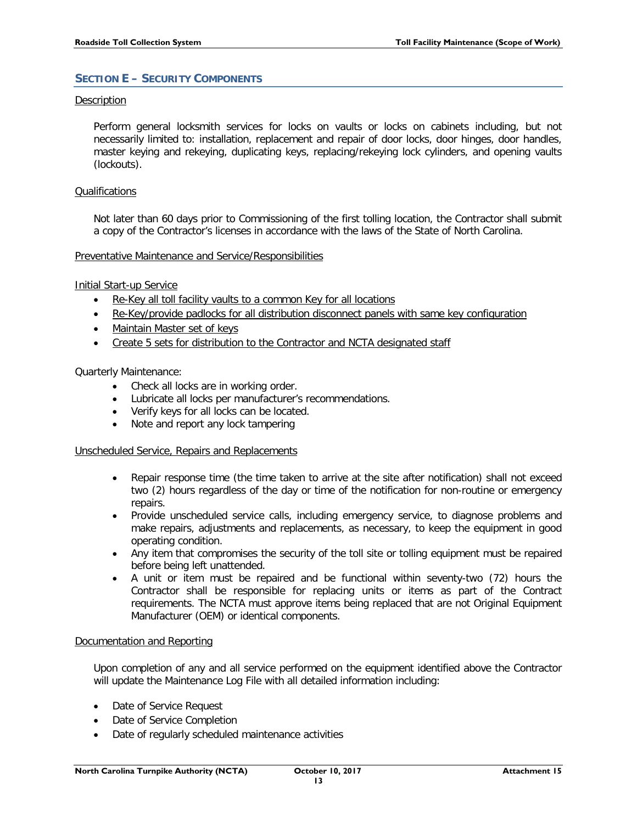# <span id="page-13-0"></span>**SECTION E – SECURITY COMPONENTS**

# Description

Perform general locksmith services for locks on vaults or locks on cabinets including, but not necessarily limited to: installation, replacement and repair of door locks, door hinges, door handles, master keying and rekeying, duplicating keys, replacing/rekeying lock cylinders, and opening vaults (lockouts).

#### Qualifications

Not later than 60 days prior to Commissioning of the first tolling location, the Contractor shall submit a copy of the Contractor's licenses in accordance with the laws of the State of North Carolina.

#### Preventative Maintenance and Service/Responsibilities

#### Initial Start-up Service

- Re-Key all toll facility vaults to a common Key for all locations
- Re-Key/provide padlocks for all distribution disconnect panels with same key configuration
- Maintain Master set of keys
- Create 5 sets for distribution to the Contractor and NCTA designated staff

# Quarterly Maintenance:

- Check all locks are in working order.
- Lubricate all locks per manufacturer's recommendations.
- Verify keys for all locks can be located.
- Note and report any lock tampering

# Unscheduled Service, Repairs and Replacements

- Repair response time (the time taken to arrive at the site after notification) shall not exceed two (2) hours regardless of the day or time of the notification for non-routine or emergency repairs.
- Provide unscheduled service calls, including emergency service, to diagnose problems and make repairs, adjustments and replacements, as necessary, to keep the equipment in good operating condition.
- Any item that compromises the security of the toll site or tolling equipment must be repaired before being left unattended.
- A unit or item must be repaired and be functional within seventy-two (72) hours the Contractor shall be responsible for replacing units or items as part of the Contract requirements. The NCTA must approve items being replaced that are not Original Equipment Manufacturer (OEM) or identical components.

# Documentation and Reporting

Upon completion of any and all service performed on the equipment identified above the Contractor will update the Maintenance Log File with all detailed information including:

- Date of Service Request
- Date of Service Completion
- Date of regularly scheduled maintenance activities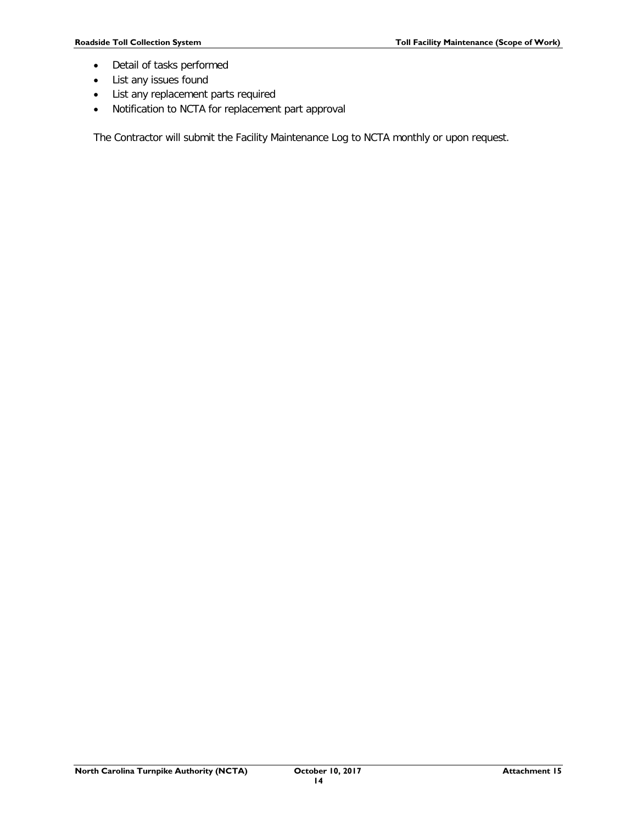- Detail of tasks performed
- List any issues found
- List any replacement parts required
- Notification to NCTA for replacement part approval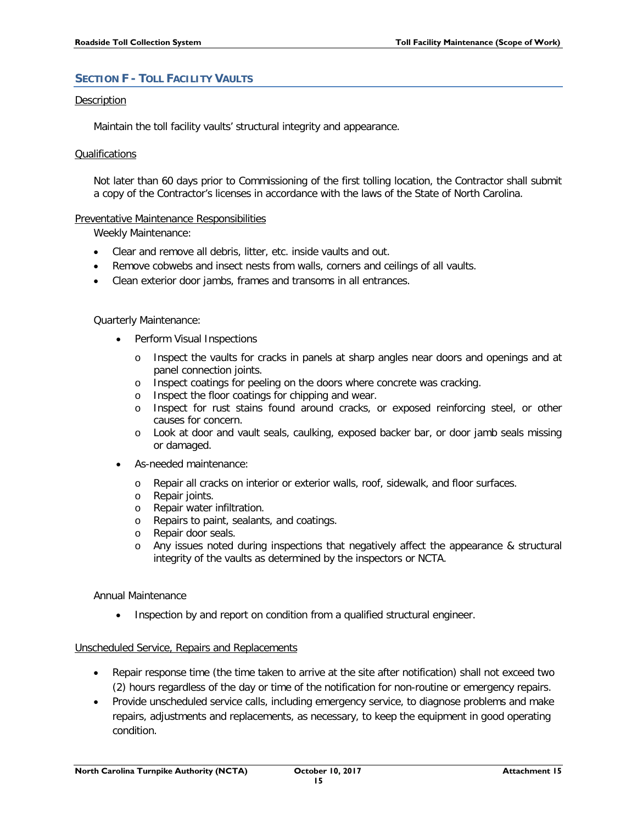# <span id="page-15-0"></span>**SECTION F - TOLL FACILITY VAULTS**

# Description

Maintain the toll facility vaults' structural integrity and appearance.

#### Qualifications

Not later than 60 days prior to Commissioning of the first tolling location, the Contractor shall submit a copy of the Contractor's licenses in accordance with the laws of the State of North Carolina.

# Preventative Maintenance Responsibilities

Weekly Maintenance:

- Clear and remove all debris, litter, etc. inside vaults and out.
- Remove cobwebs and insect nests from walls, corners and ceilings of all vaults.
- Clean exterior door jambs, frames and transoms in all entrances.

# Quarterly Maintenance:

- Perform Visual Inspections
	- o Inspect the vaults for cracks in panels at sharp angles near doors and openings and at panel connection joints.
	- o Inspect coatings for peeling on the doors where concrete was cracking.
	- o Inspect the floor coatings for chipping and wear.
	- o Inspect for rust stains found around cracks, or exposed reinforcing steel, or other causes for concern.
	- o Look at door and vault seals, caulking, exposed backer bar, or door jamb seals missing or damaged.
- As-needed maintenance:
	- o Repair all cracks on interior or exterior walls, roof, sidewalk, and floor surfaces.
	- o Repair joints.
	- o Repair water infiltration.
	- o Repairs to paint, sealants, and coatings.
	- o Repair door seals.
	- o Any issues noted during inspections that negatively affect the appearance & structural integrity of the vaults as determined by the inspectors or NCTA.

# Annual Maintenance

Inspection by and report on condition from a qualified structural engineer.

# Unscheduled Service, Repairs and Replacements

- Repair response time (the time taken to arrive at the site after notification) shall not exceed two (2) hours regardless of the day or time of the notification for non-routine or emergency repairs.
- Provide unscheduled service calls, including emergency service, to diagnose problems and make repairs, adjustments and replacements, as necessary, to keep the equipment in good operating condition.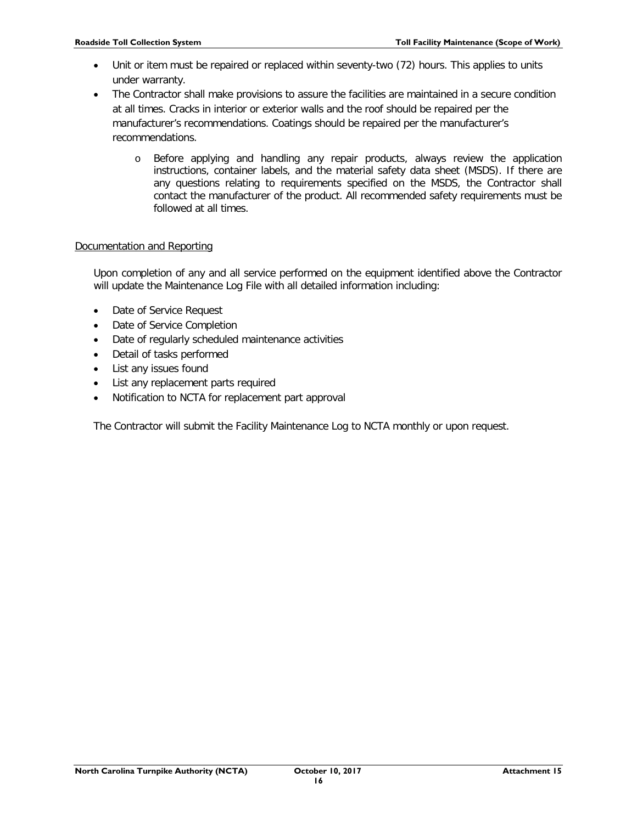- Unit or item must be repaired or replaced within seventy-two (72) hours. This applies to units under warranty.
- The Contractor shall make provisions to assure the facilities are maintained in a secure condition at all times. Cracks in interior or exterior walls and the roof should be repaired per the manufacturer's recommendations. Coatings should be repaired per the manufacturer's recommendations.
	- o Before applying and handling any repair products, always review the application instructions, container labels, and the material safety data sheet (MSDS). If there are any questions relating to requirements specified on the MSDS, the Contractor shall contact the manufacturer of the product. All recommended safety requirements must be followed at all times.

# Documentation and Reporting

Upon completion of any and all service performed on the equipment identified above the Contractor will update the Maintenance Log File with all detailed information including:

- Date of Service Request
- Date of Service Completion
- Date of regularly scheduled maintenance activities
- Detail of tasks performed
- List any issues found
- List any replacement parts required
- Notification to NCTA for replacement part approval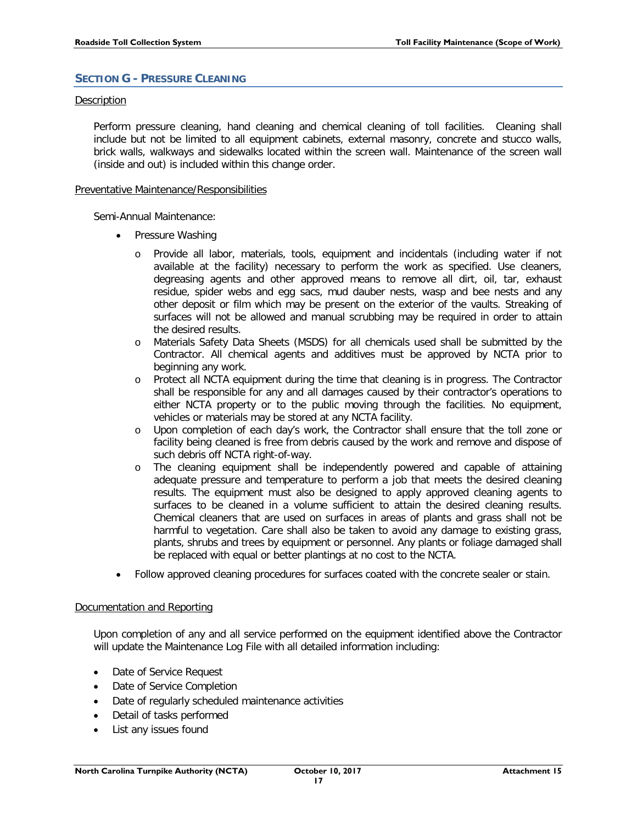# <span id="page-17-0"></span>**SECTION G - PRESSURE CLEANING**

### Description

Perform pressure cleaning, hand cleaning and chemical cleaning of toll facilities. Cleaning shall include but not be limited to all equipment cabinets, external masonry, concrete and stucco walls, brick walls, walkways and sidewalks located within the screen wall. Maintenance of the screen wall (inside and out) is included within this change order.

#### Preventative Maintenance/Responsibilities

Semi-Annual Maintenance:

- Pressure Washing
	- o Provide all labor, materials, tools, equipment and incidentals (including water if not available at the facility) necessary to perform the work as specified. Use cleaners, degreasing agents and other approved means to remove all dirt, oil, tar, exhaust residue, spider webs and egg sacs, mud dauber nests, wasp and bee nests and any other deposit or film which may be present on the exterior of the vaults. Streaking of surfaces will not be allowed and manual scrubbing may be required in order to attain the desired results.
	- o Materials Safety Data Sheets (MSDS) for all chemicals used shall be submitted by the Contractor. All chemical agents and additives must be approved by NCTA prior to beginning any work.
	- o Protect all NCTA equipment during the time that cleaning is in progress. The Contractor shall be responsible for any and all damages caused by their contractor's operations to either NCTA property or to the public moving through the facilities. No equipment, vehicles or materials may be stored at any NCTA facility.
	- o Upon completion of each day's work, the Contractor shall ensure that the toll zone or facility being cleaned is free from debris caused by the work and remove and dispose of such debris off NCTA right-of-way.
	- o The cleaning equipment shall be independently powered and capable of attaining adequate pressure and temperature to perform a job that meets the desired cleaning results. The equipment must also be designed to apply approved cleaning agents to surfaces to be cleaned in a volume sufficient to attain the desired cleaning results. Chemical cleaners that are used on surfaces in areas of plants and grass shall not be harmful to vegetation. Care shall also be taken to avoid any damage to existing grass, plants, shrubs and trees by equipment or personnel. Any plants or foliage damaged shall be replaced with equal or better plantings at no cost to the NCTA.
- Follow approved cleaning procedures for surfaces coated with the concrete sealer or stain.

# Documentation and Reporting

Upon completion of any and all service performed on the equipment identified above the Contractor will update the Maintenance Log File with all detailed information including:

- Date of Service Request
- Date of Service Completion
- Date of regularly scheduled maintenance activities
- Detail of tasks performed
- List any issues found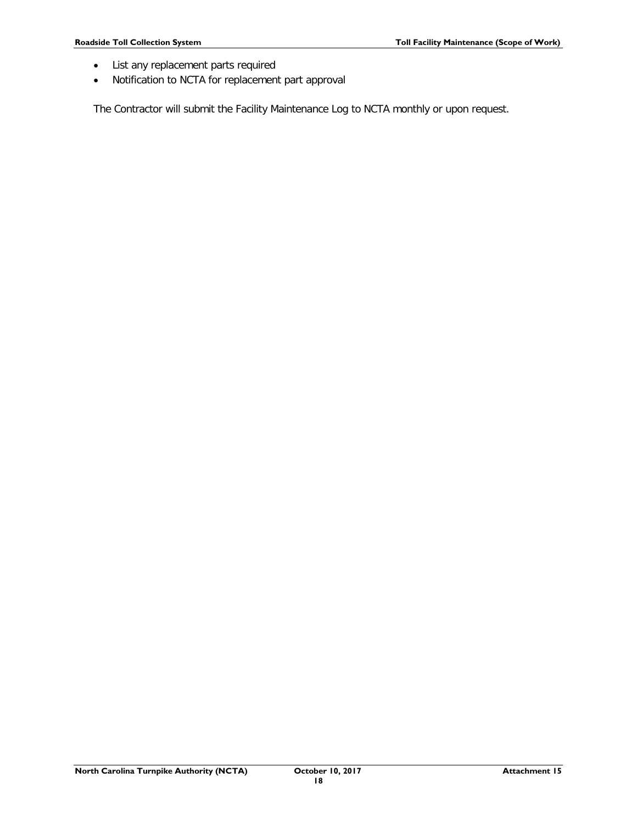- List any replacement parts required
- Notification to NCTA for replacement part approval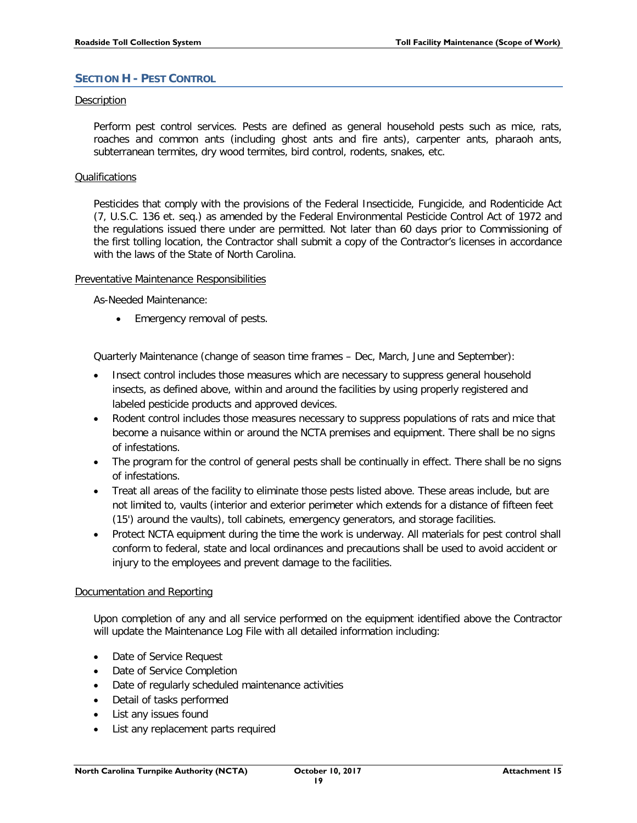# <span id="page-19-0"></span>**SECTION H - PEST CONTROL**

# Description

Perform pest control services. Pests are defined as general household pests such as mice, rats, roaches and common ants (including ghost ants and fire ants), carpenter ants, pharaoh ants, subterranean termites, dry wood termites, bird control, rodents, snakes, etc.

#### Qualifications

Pesticides that comply with the provisions of the Federal Insecticide, Fungicide, and Rodenticide Act (7, U.S.C. 136 et. seq.) as amended by the Federal Environmental Pesticide Control Act of 1972 and the regulations issued there under are permitted. Not later than 60 days prior to Commissioning of the first tolling location, the Contractor shall submit a copy of the Contractor's licenses in accordance with the laws of the State of North Carolina.

#### Preventative Maintenance Responsibilities

As-Needed Maintenance:

• Emergency removal of pests.

Quarterly Maintenance (change of season time frames – Dec, March, June and September):

- Insect control includes those measures which are necessary to suppress general household insects, as defined above, within and around the facilities by using properly registered and labeled pesticide products and approved devices.
- Rodent control includes those measures necessary to suppress populations of rats and mice that become a nuisance within or around the NCTA premises and equipment. There shall be no signs of infestations.
- The program for the control of general pests shall be continually in effect. There shall be no signs of infestations.
- Treat all areas of the facility to eliminate those pests listed above. These areas include, but are not limited to, vaults (interior and exterior perimeter which extends for a distance of fifteen feet (15') around the vaults), toll cabinets, emergency generators, and storage facilities.
- Protect NCTA equipment during the time the work is underway. All materials for pest control shall conform to federal, state and local ordinances and precautions shall be used to avoid accident or injury to the employees and prevent damage to the facilities.

# Documentation and Reporting

Upon completion of any and all service performed on the equipment identified above the Contractor will update the Maintenance Log File with all detailed information including:

- Date of Service Request
- Date of Service Completion
- Date of regularly scheduled maintenance activities
- Detail of tasks performed
- List any issues found
- List any replacement parts required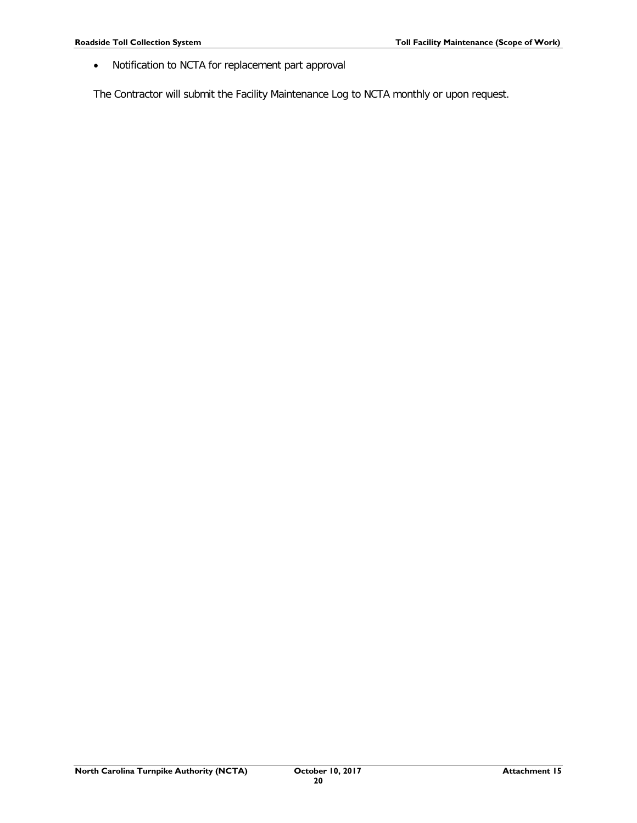• Notification to NCTA for replacement part approval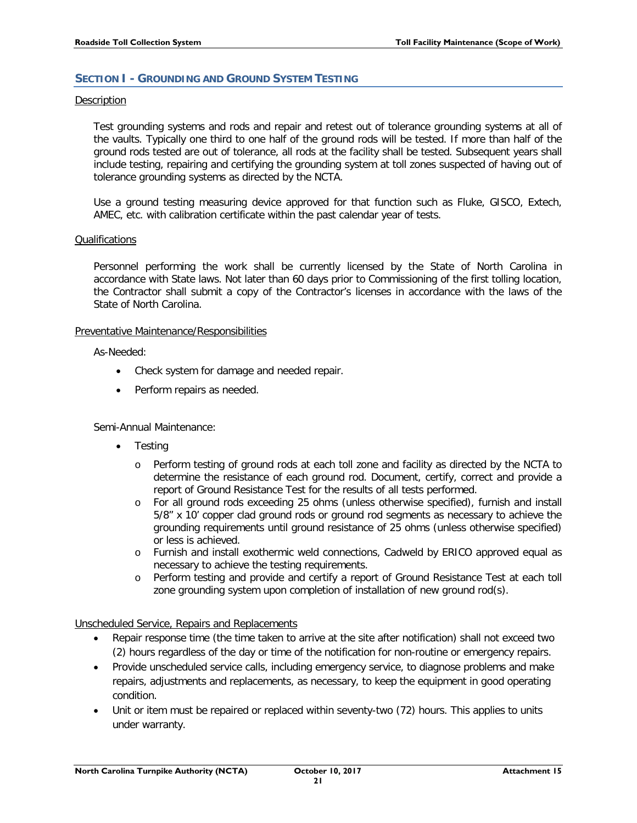# <span id="page-21-0"></span>**SECTION I - GROUNDING AND GROUND SYSTEM TESTING**

#### Description

Test grounding systems and rods and repair and retest out of tolerance grounding systems at all of the vaults. Typically one third to one half of the ground rods will be tested. If more than half of the ground rods tested are out of tolerance, all rods at the facility shall be tested. Subsequent years shall include testing, repairing and certifying the grounding system at toll zones suspected of having out of tolerance grounding systems as directed by the NCTA.

Use a ground testing measuring device approved for that function such as Fluke, GISCO, Extech, AMEC, etc. with calibration certificate within the past calendar year of tests.

#### Qualifications

Personnel performing the work shall be currently licensed by the State of North Carolina in accordance with State laws. Not later than 60 days prior to Commissioning of the first tolling location, the Contractor shall submit a copy of the Contractor's licenses in accordance with the laws of the State of North Carolina.

# Preventative Maintenance/Responsibilities

As-Needed:

- Check system for damage and needed repair.
- Perform repairs as needed.

# Semi-Annual Maintenance:

- **Testing** 
	- o Perform testing of ground rods at each toll zone and facility as directed by the NCTA to determine the resistance of each ground rod. Document, certify, correct and provide a report of Ground Resistance Test for the results of all tests performed.
	- o For all ground rods exceeding 25 ohms (unless otherwise specified), furnish and install 5/8" x 10' copper clad ground rods or ground rod segments as necessary to achieve the grounding requirements until ground resistance of 25 ohms (unless otherwise specified) or less is achieved.
	- o Furnish and install exothermic weld connections, Cadweld by ERICO approved equal as necessary to achieve the testing requirements.
	- o Perform testing and provide and certify a report of Ground Resistance Test at each toll zone grounding system upon completion of installation of new ground rod(s).

Unscheduled Service, Repairs and Replacements

- Repair response time (the time taken to arrive at the site after notification) shall not exceed two (2) hours regardless of the day or time of the notification for non-routine or emergency repairs.
- Provide unscheduled service calls, including emergency service, to diagnose problems and make repairs, adjustments and replacements, as necessary, to keep the equipment in good operating condition.
- Unit or item must be repaired or replaced within seventy-two (72) hours. This applies to units under warranty.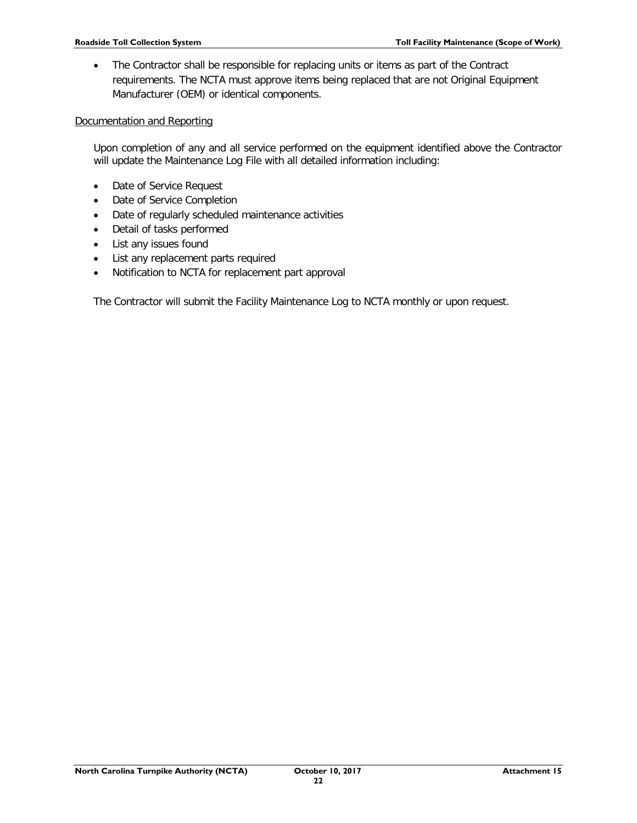• The Contractor shall be responsible for replacing units or items as part of the Contract requirements. The NCTA must approve items being replaced that are not Original Equipment Manufacturer (OEM) or identical components.

# Documentation and Reporting

Upon completion of any and all service performed on the equipment identified above the Contractor will update the Maintenance Log File with all detailed information including:

- Date of Service Request
- Date of Service Completion
- Date of regularly scheduled maintenance activities
- Detail of tasks performed
- List any issues found
- List any replacement parts required
- Notification to NCTA for replacement part approval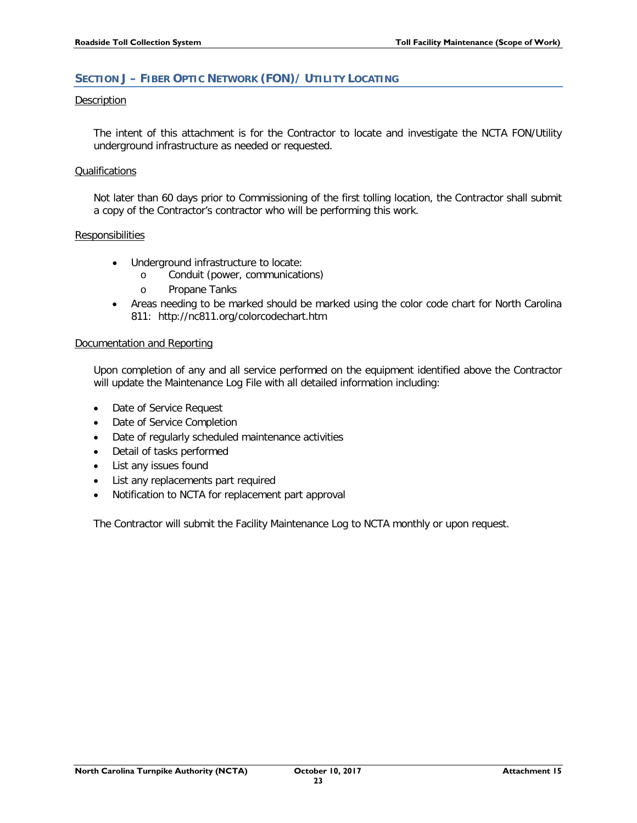# <span id="page-23-0"></span>**SECTION J – FIBER OPTIC NETWORK (FON)/ UTILITY LOCATING**

# Description

The intent of this attachment is for the Contractor to locate and investigate the NCTA FON/Utility underground infrastructure as needed or requested.

# **Qualifications**

Not later than 60 days prior to Commissioning of the first tolling location, the Contractor shall submit a copy of the Contractor's contractor who will be performing this work.

#### **Responsibilities**

- Underground infrastructure to locate:
	- o Conduit (power, communications)
	- o Propane Tanks
- Areas needing to be marked should be marked using the color code chart for North Carolina 811: <http://nc811.org/colorcodechart.htm>

#### Documentation and Reporting

Upon completion of any and all service performed on the equipment identified above the Contractor will update the Maintenance Log File with all detailed information including:

- Date of Service Request
- Date of Service Completion
- Date of regularly scheduled maintenance activities
- Detail of tasks performed
- List any issues found
- List any replacements part required
- Notification to NCTA for replacement part approval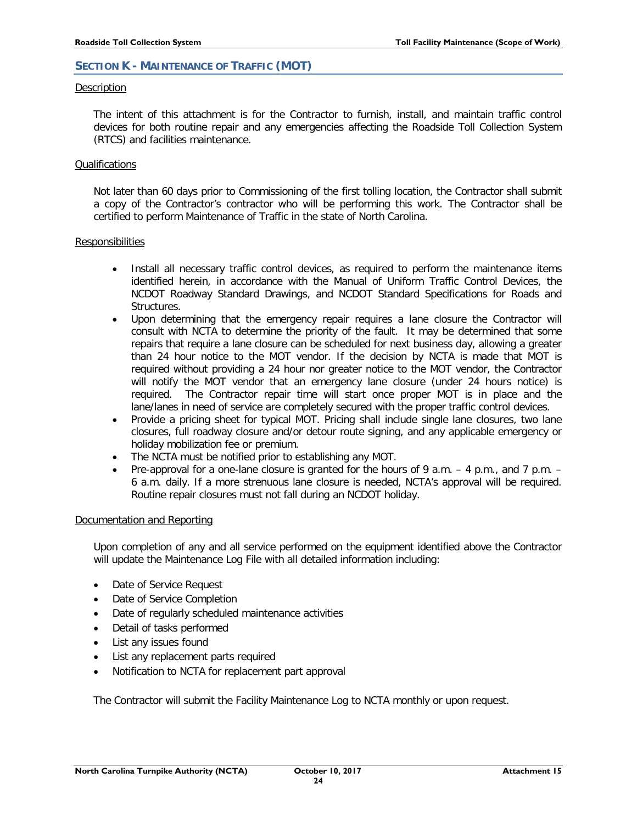# <span id="page-24-0"></span>**SECTION K - MAINTENANCE OF TRAFFIC (MOT)**

#### **Description**

The intent of this attachment is for the Contractor to furnish, install, and maintain traffic control devices for both routine repair and any emergencies affecting the Roadside Toll Collection System (RTCS) and facilities maintenance.

#### **Qualifications**

Not later than 60 days prior to Commissioning of the first tolling location, the Contractor shall submit a copy of the Contractor's contractor who will be performing this work. The Contractor shall be certified to perform Maintenance of Traffic in the state of North Carolina.

#### **Responsibilities**

- Install all necessary traffic control devices, as required to perform the maintenance items identified herein, in accordance with the Manual of Uniform Traffic Control Devices, the NCDOT Roadway Standard Drawings, and NCDOT Standard Specifications for Roads and Structures.
- Upon determining that the emergency repair requires a lane closure the Contractor will consult with NCTA to determine the priority of the fault. It may be determined that some repairs that require a lane closure can be scheduled for next business day, allowing a greater than 24 hour notice to the MOT vendor. If the decision by NCTA is made that MOT is required without providing a 24 hour nor greater notice to the MOT vendor, the Contractor will notify the MOT vendor that an emergency lane closure (under 24 hours notice) is required. The Contractor repair time will start once proper MOT is in place and the lane/lanes in need of service are completely secured with the proper traffic control devices.
- Provide a pricing sheet for typical MOT. Pricing shall include single lane closures, two lane closures, full roadway closure and/or detour route signing, and any applicable emergency or holiday mobilization fee or premium.
- The NCTA must be notified prior to establishing any MOT.
- Pre-approval for a one-lane closure is granted for the hours of 9 a.m. 4 p.m., and 7 p.m. 6 a.m. daily. If a more strenuous lane closure is needed, NCTA's approval will be required. Routine repair closures must not fall during an NCDOT holiday.

# Documentation and Reporting

Upon completion of any and all service performed on the equipment identified above the Contractor will update the Maintenance Log File with all detailed information including:

- Date of Service Request
- Date of Service Completion
- Date of regularly scheduled maintenance activities
- Detail of tasks performed
- List any issues found
- List any replacement parts required
- Notification to NCTA for replacement part approval